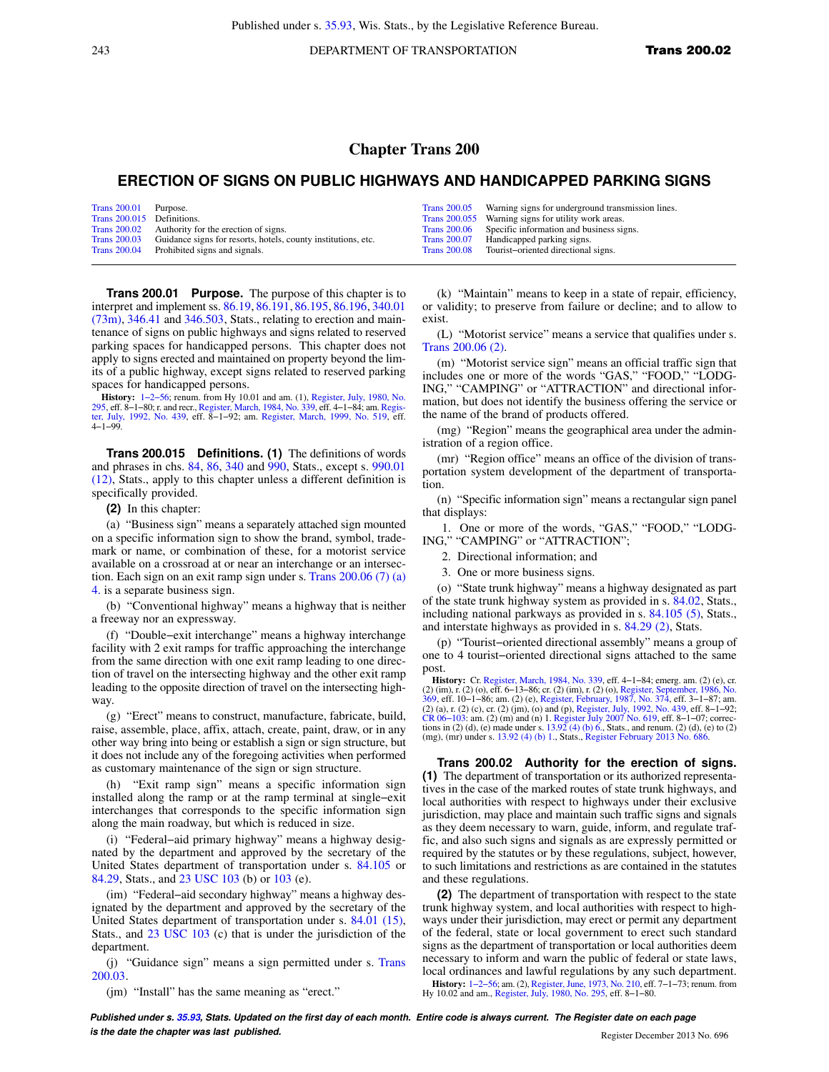243 **DEPARTMENT OF TRANSPORTATION Trans 200.02** 

## **Chapter Trans 200**

## **ERECTION OF SIGNS ON PUBLIC HIGHWAYS AND HANDICAPPED PARKING SIGNS**

| Trans 200.01 Purpose.<br>Trans 200.015 Definitions. | Trans 200.02 Authority for the erection of signs.<br>Trans 200.03 Guidance signs for resorts, hotels, county institutions, etc. | <b>Trans 200.05</b> | Warning signs for underground transmission lines.<br>Trans 200.055 Warning signs for utility work areas.<br>Trans 200.06 Specific information and business signs.<br>Trans 200.07 Handicapped parking signs. |
|-----------------------------------------------------|---------------------------------------------------------------------------------------------------------------------------------|---------------------|--------------------------------------------------------------------------------------------------------------------------------------------------------------------------------------------------------------|
|                                                     | Trans 200.04 Prohibited signs and signals.                                                                                      |                     | Trans 200.08 Tourist-oriented directional signs.                                                                                                                                                             |

**Trans 200.01 Purpose.** The purpose of this chapter is to interpret and implement ss. [86.19](https://docs.legis.wisconsin.gov/document/statutes/86.19), [86.191](https://docs.legis.wisconsin.gov/document/statutes/86.191), [86.195,](https://docs.legis.wisconsin.gov/document/statutes/86.195) [86.196](https://docs.legis.wisconsin.gov/document/statutes/86.196), [340.01](https://docs.legis.wisconsin.gov/document/statutes/340.01(73m)) [\(73m\),](https://docs.legis.wisconsin.gov/document/statutes/340.01(73m)) [346.41](https://docs.legis.wisconsin.gov/document/statutes/346.41) and [346.503,](https://docs.legis.wisconsin.gov/document/statutes/346.503) Stats., relating to erection and maintenance of signs on public highways and signs related to reserved parking spaces for handicapped persons. This chapter does not apply to signs erected and maintained on property beyond the limits of a public highway, except signs related to reserved parking spaces for handicapped persons.

**History:** [1−2−56;](https://docs.legis.wisconsin.gov/document/register/0/B/toc) renum. from Hy 10.01 and am. (1), [Register, July, 1980, No.](https://docs.legis.wisconsin.gov/document/register/295/B/toc) 295, eff. 8–1–80; r. and recr., Register, March, 1984, No. 339, eff. 4–1–84; am. Regis-[295](https://docs.legis.wisconsin.gov/document/register/295/B/toc), eff. 8−1−80; r. and recr., [Register, March, 1984, No. 339,](https://docs.legis.wisconsin.gov/document/register/339/B/toc) eff. 4−1−84; am. [Regis-](https://docs.legis.wisconsin.gov/document/register/439/B/toc)[ter, July, 1992, No. 439,](https://docs.legis.wisconsin.gov/document/register/439/B/toc) eff. 8−1−92; am. [Register, March, 1999, No. 519,](https://docs.legis.wisconsin.gov/document/register/519/B/toc) eff. 4−1−99.

**Trans 200.015 Definitions. (1)** The definitions of words and phrases in chs. [84](https://docs.legis.wisconsin.gov/document/statutes/ch.%2084), [86,](https://docs.legis.wisconsin.gov/document/statutes/ch.%2086) [340](https://docs.legis.wisconsin.gov/document/statutes/ch.%20340) and [990,](https://docs.legis.wisconsin.gov/document/statutes/ch.%20990) Stats., except s. [990.01](https://docs.legis.wisconsin.gov/document/statutes/990.01(12)) [\(12\),](https://docs.legis.wisconsin.gov/document/statutes/990.01(12)) Stats., apply to this chapter unless a different definition is specifically provided.

**(2)** In this chapter:

(a) "Business sign" means a separately attached sign mounted on a specific information sign to show the brand, symbol, trademark or name, or combination of these, for a motorist service available on a crossroad at or near an interchange or an intersection. Each sign on an exit ramp sign under s. [Trans 200.06 \(7\) \(a\)](https://docs.legis.wisconsin.gov/document/administrativecode/Trans%20200.06(7)(a)4.) [4.](https://docs.legis.wisconsin.gov/document/administrativecode/Trans%20200.06(7)(a)4.) is a separate business sign.

(b) "Conventional highway" means a highway that is neither a freeway nor an expressway.

(f) "Double−exit interchange" means a highway interchange facility with 2 exit ramps for traffic approaching the interchange from the same direction with one exit ramp leading to one direction of travel on the intersecting highway and the other exit ramp leading to the opposite direction of travel on the intersecting highway.

(g) "Erect" means to construct, manufacture, fabricate, build, raise, assemble, place, affix, attach, create, paint, draw, or in any other way bring into being or establish a sign or sign structure, but it does not include any of the foregoing activities when performed as customary maintenance of the sign or sign structure.

(h) "Exit ramp sign" means a specific information sign installed along the ramp or at the ramp terminal at single−exit interchanges that corresponds to the specific information sign along the main roadway, but which is reduced in size.

(i) "Federal−aid primary highway" means a highway designated by the department and approved by the secretary of the United States department of transportation under s. [84.105](https://docs.legis.wisconsin.gov/document/statutes/84.105) or [84.29](https://docs.legis.wisconsin.gov/document/statutes/84.29), Stats., and [23 USC 103](https://docs.legis.wisconsin.gov/document/usc/23%20USC%20103) (b) or [103](https://docs.legis.wisconsin.gov/document/usc/23%20USC%20103) (e).

(im) "Federal−aid secondary highway" means a highway designated by the department and approved by the secretary of the United States department of transportation under s. [84.01 \(15\),](https://docs.legis.wisconsin.gov/document/statutes/84.01(15)) Stats., and [23 USC 103](https://docs.legis.wisconsin.gov/document/usc/23%20USC%20103) (c) that is under the jurisdiction of the department.

(j) "Guidance sign" means a sign permitted under s. [Trans](https://docs.legis.wisconsin.gov/document/administrativecode/Trans%20200.03) [200.03.](https://docs.legis.wisconsin.gov/document/administrativecode/Trans%20200.03)

(jm) "Install" has the same meaning as "erect."

(k) "Maintain" means to keep in a state of repair, efficiency, or validity; to preserve from failure or decline; and to allow to exist.

(L) "Motorist service" means a service that qualifies under s. [Trans 200.06 \(2\)](https://docs.legis.wisconsin.gov/document/administrativecode/Trans%20200.06(2)).

(m) "Motorist service sign" means an official traffic sign that includes one or more of the words "GAS," "FOOD," "LODG-ING," "CAMPING" or "ATTRACTION" and directional information, but does not identify the business offering the service or the name of the brand of products offered.

(mg) "Region" means the geographical area under the administration of a region office.

(mr) "Region office" means an office of the division of transportation system development of the department of transportation.

(n) "Specific information sign" means a rectangular sign panel that displays:

1. One or more of the words, "GAS," "FOOD," "LODG-ING," "CAMPING" or "ATTRACTION";

2. Directional information; and

3. One or more business signs.

(o) "State trunk highway" means a highway designated as part of the state trunk highway system as provided in s. [84.02,](https://docs.legis.wisconsin.gov/document/statutes/84.02) Stats., including national parkways as provided in s. [84.105 \(5\),](https://docs.legis.wisconsin.gov/document/statutes/84.105(5)) Stats., and interstate highways as provided in s. [84.29 \(2\),](https://docs.legis.wisconsin.gov/document/statutes/84.29(2)) Stats.

(p) "Tourist−oriented directional assembly" means a group of one to 4 tourist−oriented directional signs attached to the same post.

**History:** Cr. [Register, March, 1984, No. 339](https://docs.legis.wisconsin.gov/document/register/339/B/toc), eff. 4−1−84; emerg. am. (2) (e), cr. (2) (im), r. (2) (o), eff. 6–13–86; cr. (2) (im), r. (2) (o), [Register, September, 1986, No.](https://docs.legis.wisconsin.gov/document/register/369/B/toc) [369,](https://docs.legis.wisconsin.gov/document/register/369/B/toc) eff. 10–1–86; am. (2) (e), [Register, February, 1987, No. 374](https://docs.legis.wisconsin.gov/document/register/374/B/toc), eff. 3–1–87; am. (2) (a), r. (2) (c), r. (2) (im), (o) and (p

**Trans 200.02 Authority for the erection of signs. (1)** The department of transportation or its authorized representatives in the case of the marked routes of state trunk highways, and local authorities with respect to highways under their exclusive jurisdiction, may place and maintain such traffic signs and signals as they deem necessary to warn, guide, inform, and regulate traffic, and also such signs and signals as are expressly permitted or required by the statutes or by these regulations, subject, however, to such limitations and restrictions as are contained in the statutes and these regulations.

**(2)** The department of transportation with respect to the state trunk highway system, and local authorities with respect to highways under their jurisdiction, may erect or permit any department of the federal, state or local government to erect such standard signs as the department of transportation or local authorities deem necessary to inform and warn the public of federal or state laws, local ordinances and lawful regulations by any such department. **History:** [1−2−56](https://docs.legis.wisconsin.gov/document/register/0/B/toc); am. (2), [Register, June, 1973, No. 210,](https://docs.legis.wisconsin.gov/document/register/210/B/toc) eff. 7−1−73; renum. from Hy 10.02 and am., [Register, July, 1980, No. 295](https://docs.legis.wisconsin.gov/document/register/295/B/toc), eff. 8−1−80.

**Published under s. [35.93,](https://docs.legis.wisconsin.gov/document/statutes/35.93) Stats. Updated on the first day of each month. Entire code is always current. The Register date on each page is the date the chapter was last published. Conserved by the chapter of the chapter 2013 No. 696 Register December 2013 No. 696**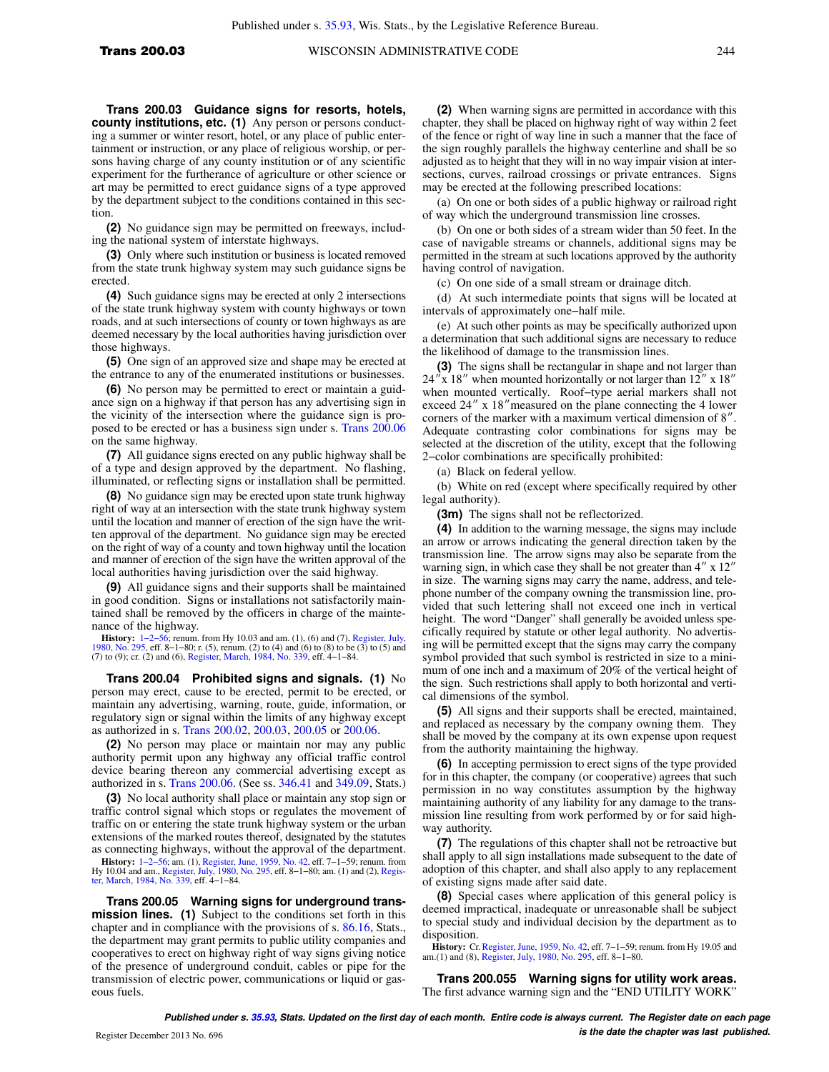**Trans 200.03 Guidance signs for resorts, hotels, county institutions, etc. (1)** Any person or persons conducting a summer or winter resort, hotel, or any place of public entertainment or instruction, or any place of religious worship, or persons having charge of any county institution or of any scientific experiment for the furtherance of agriculture or other science or art may be permitted to erect guidance signs of a type approved by the department subject to the conditions contained in this section.

**(2)** No guidance sign may be permitted on freeways, including the national system of interstate highways.

**(3)** Only where such institution or business is located removed from the state trunk highway system may such guidance signs be erected.

**(4)** Such guidance signs may be erected at only 2 intersections of the state trunk highway system with county highways or town roads, and at such intersections of county or town highways as are deemed necessary by the local authorities having jurisdiction over those highways.

**(5)** One sign of an approved size and shape may be erected at the entrance to any of the enumerated institutions or businesses.

**(6)** No person may be permitted to erect or maintain a guidance sign on a highway if that person has any advertising sign in the vicinity of the intersection where the guidance sign is proposed to be erected or has a business sign under s. [Trans 200.06](https://docs.legis.wisconsin.gov/document/administrativecode/Trans%20200.06) on the same highway.

**(7)** All guidance signs erected on any public highway shall be of a type and design approved by the department. No flashing, illuminated, or reflecting signs or installation shall be permitted.

**(8)** No guidance sign may be erected upon state trunk highway right of way at an intersection with the state trunk highway system until the location and manner of erection of the sign have the written approval of the department. No guidance sign may be erected on the right of way of a county and town highway until the location and manner of erection of the sign have the written approval of the local authorities having jurisdiction over the said highway.

**(9)** All guidance signs and their supports shall be maintained in good condition. Signs or installations not satisfactorily maintained shall be removed by the officers in charge of the maintenance of the highway.

**History:** 1–2–56; renum. from Hy 10.03 and am. (1), (6) and (7), [Register, July,](https://docs.legis.wisconsin.gov/document/register/295/B/toc) [1980, No. 295](https://docs.legis.wisconsin.gov/document/register/295/B/toc), eff. 8–1–80; renum. (2) to (4) and (6) to (8) to (5) and (7). 1980, No. 2) to (9); cr. (2) and (6), Register, March, 1984, N

**Trans 200.04 Prohibited signs and signals. (1)** No person may erect, cause to be erected, permit to be erected, or maintain any advertising, warning, route, guide, information, or regulatory sign or signal within the limits of any highway except as authorized in s. [Trans 200.02,](https://docs.legis.wisconsin.gov/document/administrativecode/Trans%20200.02) [200.03](https://docs.legis.wisconsin.gov/document/administrativecode/Trans%20200.03), [200.05](https://docs.legis.wisconsin.gov/document/administrativecode/Trans%20200.05) or [200.06.](https://docs.legis.wisconsin.gov/document/administrativecode/Trans%20200.06)

**(2)** No person may place or maintain nor may any public authority permit upon any highway any official traffic control device bearing thereon any commercial advertising except as authorized in s. [Trans 200.06](https://docs.legis.wisconsin.gov/document/administrativecode/Trans%20200.06). (See ss. [346.41](https://docs.legis.wisconsin.gov/document/statutes/346.41) and [349.09,](https://docs.legis.wisconsin.gov/document/statutes/349.09) Stats.)

**(3)** No local authority shall place or maintain any stop sign or traffic control signal which stops or regulates the movement of traffic on or entering the state trunk highway system or the urban extensions of the marked routes thereof, designated by the statutes as connecting highways, without the approval of the department. **History:** [1−2−56;](https://docs.legis.wisconsin.gov/document/register/0/B/toc) am. (1), [Register, June, 1959, No. 42](https://docs.legis.wisconsin.gov/document/register/42/B/toc), eff. 7−1−59; renum. from Hy 10.04 and am., [Register, July, 1980, No. 295,](https://docs.legis.wisconsin.gov/document/register/295/B/toc) eff. 8−1−80; am. (1) and (2), [Regis](https://docs.legis.wisconsin.gov/document/register/339/B/toc)[ter, March, 1984, No. 339](https://docs.legis.wisconsin.gov/document/register/339/B/toc), eff. 4−1−84.

**Trans 200.05 Warning signs for underground transmission lines. (1)** Subject to the conditions set forth in this chapter and in compliance with the provisions of s. [86.16,](https://docs.legis.wisconsin.gov/document/statutes/86.16) Stats., the department may grant permits to public utility companies and cooperatives to erect on highway right of way signs giving notice of the presence of underground conduit, cables or pipe for the transmission of electric power, communications or liquid or gaseous fuels.

**(2)** When warning signs are permitted in accordance with this chapter, they shall be placed on highway right of way within 2 feet of the fence or right of way line in such a manner that the face of the sign roughly parallels the highway centerline and shall be so adjusted as to height that they will in no way impair vision at intersections, curves, railroad crossings or private entrances. Signs may be erected at the following prescribed locations:

(a) On one or both sides of a public highway or railroad right of way which the underground transmission line crosses.

(b) On one or both sides of a stream wider than 50 feet. In the case of navigable streams or channels, additional signs may be permitted in the stream at such locations approved by the authority having control of navigation.

(c) On one side of a small stream or drainage ditch.

(d) At such intermediate points that signs will be located at intervals of approximately one−half mile.

(e) At such other points as may be specifically authorized upon a determination that such additional signs are necessary to reduce the likelihood of damage to the transmission lines.

**(3)** The signs shall be rectangular in shape and not larger than  $24''$ x 18" when mounted horizontally or not larger than 12" x 18" when mounted vertically. Roof−type aerial markers shall not exceed  $24''$  x 18" measured on the plane connecting the 4 lower corners of the marker with a maximum vertical dimension of  $8''$ . Adequate contrasting color combinations for signs may be selected at the discretion of the utility, except that the following 2−color combinations are specifically prohibited:

(a) Black on federal yellow.

(b) White on red (except where specifically required by other legal authority).

**(3m)** The signs shall not be reflectorized.

**(4)** In addition to the warning message, the signs may include an arrow or arrows indicating the general direction taken by the transmission line. The arrow signs may also be separate from the warning sign, in which case they shall be not greater than  $4'' \times 12''$ in size. The warning signs may carry the name, address, and telephone number of the company owning the transmission line, provided that such lettering shall not exceed one inch in vertical height. The word "Danger" shall generally be avoided unless specifically required by statute or other legal authority. No advertising will be permitted except that the signs may carry the company symbol provided that such symbol is restricted in size to a minimum of one inch and a maximum of 20% of the vertical height of the sign. Such restrictions shall apply to both horizontal and vertical dimensions of the symbol.

**(5)** All signs and their supports shall be erected, maintained, and replaced as necessary by the company owning them. They shall be moved by the company at its own expense upon request from the authority maintaining the highway.

**(6)** In accepting permission to erect signs of the type provided for in this chapter, the company (or cooperative) agrees that such permission in no way constitutes assumption by the highway maintaining authority of any liability for any damage to the transmission line resulting from work performed by or for said highway authority.

**(7)** The regulations of this chapter shall not be retroactive but shall apply to all sign installations made subsequent to the date of adoption of this chapter, and shall also apply to any replacement of existing signs made after said date.

**(8)** Special cases where application of this general policy is deemed impractical, inadequate or unreasonable shall be subject to special study and individual decision by the department as to disposition.

**History:** Cr. [Register, June, 1959, No. 42,](https://docs.legis.wisconsin.gov/document/register/42/B/toc) eff. 7–1–59; renum. from Hy 19.05 and am.(1) and (8), [Register, July, 1980, No. 295](https://docs.legis.wisconsin.gov/document/register/295/B/toc), eff. 8–1–80.

**Trans 200.055 Warning signs for utility work areas.** The first advance warning sign and the "END UTILITY WORK"

**Published under s. [35.93,](https://docs.legis.wisconsin.gov/document/statutes/35.93) Stats. Updated on the first day of each month. Entire code is always current. The Register date on each page is the date the chapter was last published.** Register December 2013 No. 696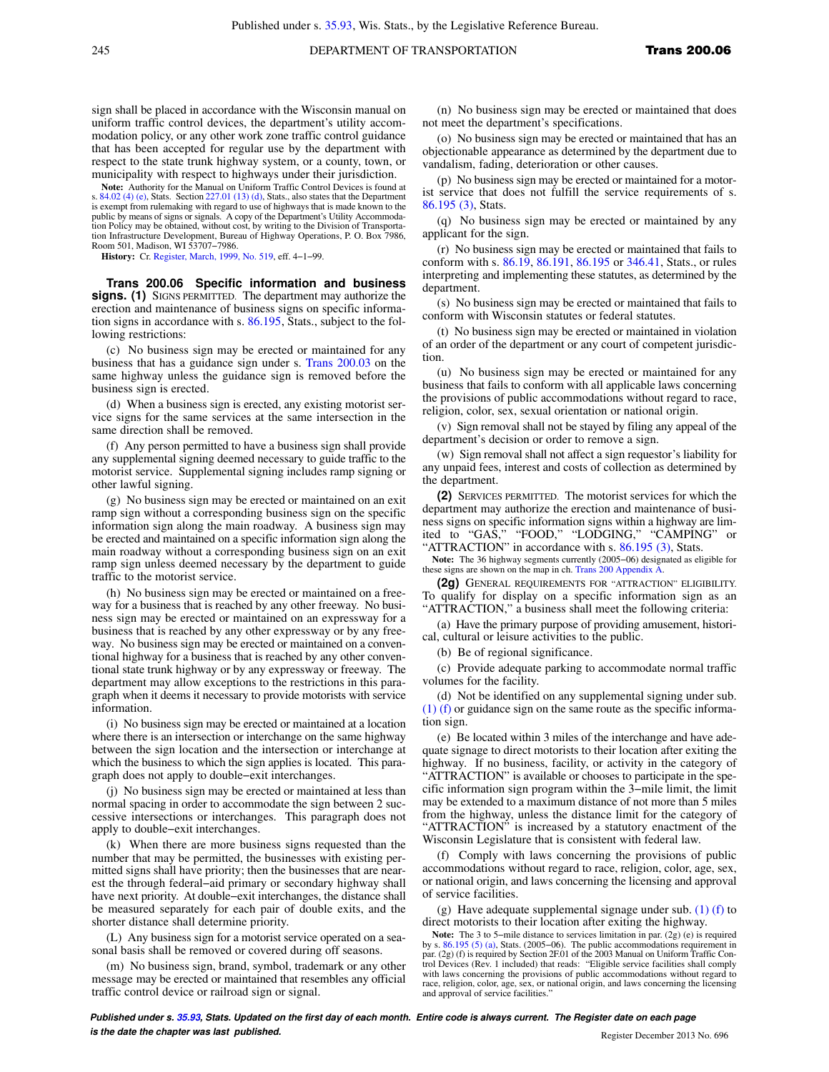sign shall be placed in accordance with the Wisconsin manual on uniform traffic control devices, the department's utility accommodation policy, or any other work zone traffic control guidance that has been accepted for regular use by the department with respect to the state trunk highway system, or a county, town, or municipality with respect to highways under their jurisdiction.

**Note:** Authority for the Manual on Uniform Traffic Control Devices is found at s.  $84.02$  (4) (e), Stats. Section  $227.01$  (13) (d), Stats., also states that the Department is exempt from rulemaking with regard to use of highways that is made known to the public by means of signs or signals. A copy of the Department's Utility Accommodation Policy may be obtained, without cost, by writing to the Division of Transportation Infrastructure Development, Bureau of Highway Operations, P. O. Box 7986, Room 501, Madison, WI 53707−7986.

**History:** Cr. [Register, March, 1999, No. 519,](https://docs.legis.wisconsin.gov/document/register/519/B/toc) eff. 4−1−99.

**Trans 200.06 Specific information and business signs. (1)** SIGNS PERMITTED. The department may authorize the erection and maintenance of business signs on specific information signs in accordance with s. [86.195,](https://docs.legis.wisconsin.gov/document/statutes/86.195) Stats., subject to the following restrictions:

(c) No business sign may be erected or maintained for any business that has a guidance sign under s. [Trans 200.03](https://docs.legis.wisconsin.gov/document/administrativecode/Trans%20200.03) on the same highway unless the guidance sign is removed before the business sign is erected.

(d) When a business sign is erected, any existing motorist service signs for the same services at the same intersection in the same direction shall be removed.

(f) Any person permitted to have a business sign shall provide any supplemental signing deemed necessary to guide traffic to the motorist service. Supplemental signing includes ramp signing or other lawful signing.

(g) No business sign may be erected or maintained on an exit ramp sign without a corresponding business sign on the specific information sign along the main roadway. A business sign may be erected and maintained on a specific information sign along the main roadway without a corresponding business sign on an exit ramp sign unless deemed necessary by the department to guide traffic to the motorist service.

(h) No business sign may be erected or maintained on a freeway for a business that is reached by any other freeway. No business sign may be erected or maintained on an expressway for a business that is reached by any other expressway or by any freeway. No business sign may be erected or maintained on a conventional highway for a business that is reached by any other conventional state trunk highway or by any expressway or freeway. The department may allow exceptions to the restrictions in this paragraph when it deems it necessary to provide motorists with service information.

(i) No business sign may be erected or maintained at a location where there is an intersection or interchange on the same highway between the sign location and the intersection or interchange at which the business to which the sign applies is located. This paragraph does not apply to double−exit interchanges.

(j) No business sign may be erected or maintained at less than normal spacing in order to accommodate the sign between 2 successive intersections or interchanges. This paragraph does not apply to double−exit interchanges.

(k) When there are more business signs requested than the number that may be permitted, the businesses with existing permitted signs shall have priority; then the businesses that are nearest the through federal−aid primary or secondary highway shall have next priority. At double−exit interchanges, the distance shall be measured separately for each pair of double exits, and the shorter distance shall determine priority.

(L) Any business sign for a motorist service operated on a seasonal basis shall be removed or covered during off seasons.

(m) No business sign, brand, symbol, trademark or any other message may be erected or maintained that resembles any official traffic control device or railroad sign or signal.

(n) No business sign may be erected or maintained that does not meet the department's specifications.

(o) No business sign may be erected or maintained that has an objectionable appearance as determined by the department due to vandalism, fading, deterioration or other causes.

(p) No business sign may be erected or maintained for a motorist service that does not fulfill the service requirements of s. [86.195 \(3\),](https://docs.legis.wisconsin.gov/document/statutes/86.195(3)) Stats.

(q) No business sign may be erected or maintained by any applicant for the sign.

(r) No business sign may be erected or maintained that fails to conform with s. [86.19,](https://docs.legis.wisconsin.gov/document/statutes/86.19) [86.191](https://docs.legis.wisconsin.gov/document/statutes/86.191), [86.195](https://docs.legis.wisconsin.gov/document/statutes/86.195) or [346.41,](https://docs.legis.wisconsin.gov/document/statutes/346.41) Stats., or rules interpreting and implementing these statutes, as determined by the department.

(s) No business sign may be erected or maintained that fails to conform with Wisconsin statutes or federal statutes.

(t) No business sign may be erected or maintained in violation of an order of the department or any court of competent jurisdiction.

(u) No business sign may be erected or maintained for any business that fails to conform with all applicable laws concerning the provisions of public accommodations without regard to race, religion, color, sex, sexual orientation or national origin.

(v) Sign removal shall not be stayed by filing any appeal of the department's decision or order to remove a sign.

(w) Sign removal shall not affect a sign requestor's liability for any unpaid fees, interest and costs of collection as determined by the department.

**(2)** SERVICES PERMITTED. The motorist services for which the department may authorize the erection and maintenance of business signs on specific information signs within a highway are limited to "GAS," "FOOD," "LODGING," "CAMPING" or "ATTRACTION" in accordance with s. [86.195 \(3\)](https://docs.legis.wisconsin.gov/document/statutes/86.195(3)), Stats.

**Note:** The 36 highway segments currently (2005−06) designated as eligible for these signs are shown on the map in ch. [Trans 200 Appendix A](https://docs.legis.wisconsin.gov/document/administrativecode/ch.%20Trans%20200%20Appendix%20A).

**(2g)** GENERAL REQUIREMENTS FOR "ATTRACTION" ELIGIBILITY. To qualify for display on a specific information sign as an "ATTRACTION," a business shall meet the following criteria:

(a) Have the primary purpose of providing amusement, historical, cultural or leisure activities to the public.

(b) Be of regional significance.

(c) Provide adequate parking to accommodate normal traffic volumes for the facility.

(d) Not be identified on any supplemental signing under sub. [\(1\) \(f\)](https://docs.legis.wisconsin.gov/document/administrativecode/Trans%20200.06(1)(f)) or guidance sign on the same route as the specific information sign.

(e) Be located within 3 miles of the interchange and have adequate signage to direct motorists to their location after exiting the highway. If no business, facility, or activity in the category of "ATTRACTION" is available or chooses to participate in the specific information sign program within the 3−mile limit, the limit may be extended to a maximum distance of not more than 5 miles from the highway, unless the distance limit for the category of "ATTRACTION" is increased by a statutory enactment of the Wisconsin Legislature that is consistent with federal law.

(f) Comply with laws concerning the provisions of public accommodations without regard to race, religion, color, age, sex, or national origin, and laws concerning the licensing and approval of service facilities.

(g) Have adequate supplemental signage under sub.  $(1)$  (f) to direct motorists to their location after exiting the highway.

**Note:** The 3 to 5−mile distance to services limitation in par. (2g) (e) is required by s. [86.195 \(5\) \(a\)](https://docs.legis.wisconsin.gov/document/statutes/86.195(5)(a)), Stats. (2005−06). The public accommodations requirement in par. (2g) (f) is required by Section 2F.01 of the 2003 Manual on Uniform Traffic Control Devices (Rev. 1 included) that reads: "Eligible service facilities shall comply with laws concerning the provisions of public accommodations without regard to race, religion, color, age, sex, or national origin, and laws concerning the licensing and approval of service facilities."

**Published under s. [35.93,](https://docs.legis.wisconsin.gov/document/statutes/35.93) Stats. Updated on the first day of each month. Entire code is always current. The Register date on each page is the date the chapter was last published. Conserved by the chapter of the chapter 2013 No. 696 Register December 2013 No. 696**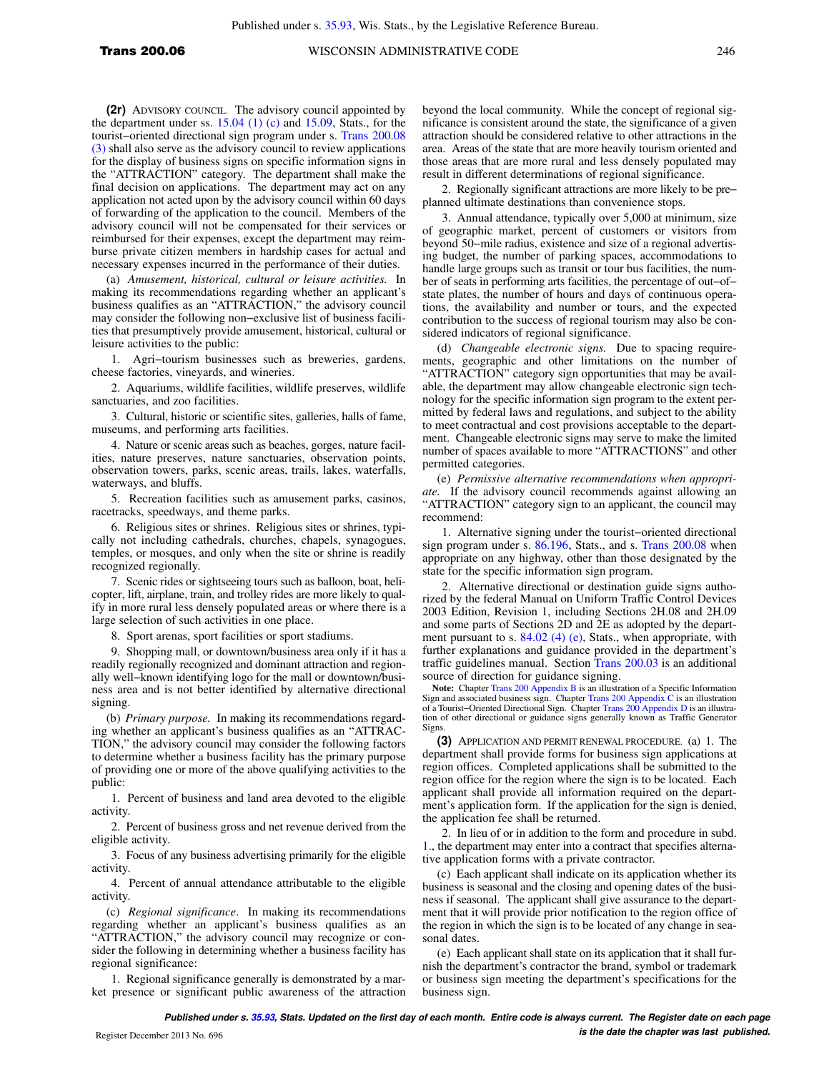**(2r)** ADVISORY COUNCIL. The advisory council appointed by the department under ss.  $15.04$  (1) (c) and  $15.09$ , Stats., for the tourist−oriented directional sign program under s. [Trans 200.08](https://docs.legis.wisconsin.gov/document/administrativecode/Trans%20200.08(3)) [\(3\)](https://docs.legis.wisconsin.gov/document/administrativecode/Trans%20200.08(3)) shall also serve as the advisory council to review applications for the display of business signs on specific information signs in the "ATTRACTION" category. The department shall make the final decision on applications. The department may act on any application not acted upon by the advisory council within 60 days of forwarding of the application to the council. Members of the advisory council will not be compensated for their services or reimbursed for their expenses, except the department may reimburse private citizen members in hardship cases for actual and necessary expenses incurred in the performance of their duties.

(a) *Amusement, historical, cultural or leisure activities.* In making its recommendations regarding whether an applicant's business qualifies as an "ATTRACTION," the advisory council may consider the following non−exclusive list of business facilities that presumptively provide amusement, historical, cultural or leisure activities to the public:

1. Agri−tourism businesses such as breweries, gardens, cheese factories, vineyards, and wineries.

2. Aquariums, wildlife facilities, wildlife preserves, wildlife sanctuaries, and zoo facilities.

3. Cultural, historic or scientific sites, galleries, halls of fame, museums, and performing arts facilities.

4. Nature or scenic areas such as beaches, gorges, nature facilities, nature preserves, nature sanctuaries, observation points, observation towers, parks, scenic areas, trails, lakes, waterfalls, waterways, and bluffs.

5. Recreation facilities such as amusement parks, casinos, racetracks, speedways, and theme parks.

6. Religious sites or shrines. Religious sites or shrines, typically not including cathedrals, churches, chapels, synagogues, temples, or mosques, and only when the site or shrine is readily recognized regionally.

7. Scenic rides or sightseeing tours such as balloon, boat, helicopter, lift, airplane, train, and trolley rides are more likely to qualify in more rural less densely populated areas or where there is a large selection of such activities in one place.

8. Sport arenas, sport facilities or sport stadiums.

9. Shopping mall, or downtown/business area only if it has a readily regionally recognized and dominant attraction and regionally well−known identifying logo for the mall or downtown/business area and is not better identified by alternative directional signing.

(b) *Primary purpose.* In making its recommendations regarding whether an applicant's business qualifies as an "ATTRAC-TION," the advisory council may consider the following factors to determine whether a business facility has the primary purpose of providing one or more of the above qualifying activities to the public:

1. Percent of business and land area devoted to the eligible activity.

2. Percent of business gross and net revenue derived from the eligible activity.

3. Focus of any business advertising primarily for the eligible activity.

4. Percent of annual attendance attributable to the eligible activity.

(c) *Regional significance*. In making its recommendations regarding whether an applicant's business qualifies as an "ATTRACTION," the advisory council may recognize or consider the following in determining whether a business facility has regional significance:

1. Regional significance generally is demonstrated by a market presence or significant public awareness of the attraction beyond the local community. While the concept of regional significance is consistent around the state, the significance of a given attraction should be considered relative to other attractions in the area. Areas of the state that are more heavily tourism oriented and those areas that are more rural and less densely populated may result in different determinations of regional significance.

2. Regionally significant attractions are more likely to be pre− planned ultimate destinations than convenience stops.

3. Annual attendance, typically over 5,000 at minimum, size of geographic market, percent of customers or visitors from beyond 50−mile radius, existence and size of a regional advertising budget, the number of parking spaces, accommodations to handle large groups such as transit or tour bus facilities, the number of seats in performing arts facilities, the percentage of out−of− state plates, the number of hours and days of continuous operations, the availability and number or tours, and the expected contribution to the success of regional tourism may also be considered indicators of regional significance.

(d) *Changeable electronic signs.* Due to spacing requirements, geographic and other limitations on the number of "ATTRACTION" category sign opportunities that may be available, the department may allow changeable electronic sign technology for the specific information sign program to the extent permitted by federal laws and regulations, and subject to the ability to meet contractual and cost provisions acceptable to the department. Changeable electronic signs may serve to make the limited number of spaces available to more "ATTRACTIONS" and other permitted categories.

(e) *Permissive alternative recommendations when appropriate.* If the advisory council recommends against allowing an "ATTRACTION" category sign to an applicant, the council may recommend:

1. Alternative signing under the tourist−oriented directional sign program under s. [86.196](https://docs.legis.wisconsin.gov/document/statutes/86.196), Stats., and s. [Trans 200.08](https://docs.legis.wisconsin.gov/document/administrativecode/Trans%20200.08) when appropriate on any highway, other than those designated by the state for the specific information sign program.

2. Alternative directional or destination guide signs authorized by the federal Manual on Uniform Traffic Control Devices 2003 Edition, Revision 1, including Sections 2H.08 and 2H.09 and some parts of Sections 2D and 2E as adopted by the depart-ment pursuant to s. [84.02 \(4\) \(e\)](https://docs.legis.wisconsin.gov/document/statutes/84.02(4)(e)), Stats., when appropriate, with further explanations and guidance provided in the department's traffic guidelines manual. Section [Trans 200.03](https://docs.legis.wisconsin.gov/document/administrativecode/Trans%20200.03) is an additional source of direction for guidance signing.

**Note:** Chapter [Trans 200 Appendix B](https://docs.legis.wisconsin.gov/document/administrativecode/ch.%20Trans%20200%20Appendix%20B) is an illustration of a Specific Information Sign and associated business sign. Chapter [Trans 200 Appendix C](https://docs.legis.wisconsin.gov/document/administrativecode/ch.%20Trans%20200%20Appendix%20C) is an illustration<br>of a Tourist–Oriented Directional Sign. Chapter [Trans 200 Appendix D](https://docs.legis.wisconsin.gov/document/administrativecode/ch.%20Trans%20200%20Appendix%20D) is an illustra-<br>tion of other directional or guidance signs generally Sign

**(3)** APPLICATION AND PERMIT RENEWAL PROCEDURE. (a) 1. The department shall provide forms for business sign applications at region offices. Completed applications shall be submitted to the region office for the region where the sign is to be located. Each applicant shall provide all information required on the department's application form. If the application for the sign is denied, the application fee shall be returned.

2. In lieu of or in addition to the form and procedure in subd. [1.,](https://docs.legis.wisconsin.gov/document/administrativecode/Trans%20200.06(3)(a)1.) the department may enter into a contract that specifies alternative application forms with a private contractor.

(c) Each applicant shall indicate on its application whether its business is seasonal and the closing and opening dates of the business if seasonal. The applicant shall give assurance to the department that it will provide prior notification to the region office of the region in which the sign is to be located of any change in seasonal dates.

(e) Each applicant shall state on its application that it shall furnish the department's contractor the brand, symbol or trademark or business sign meeting the department's specifications for the business sign.

**Published under s. [35.93,](https://docs.legis.wisconsin.gov/document/statutes/35.93) Stats. Updated on the first day of each month. Entire code is always current. The Register date on each page is the date the chapter was last published.** Register December 2013 No. 696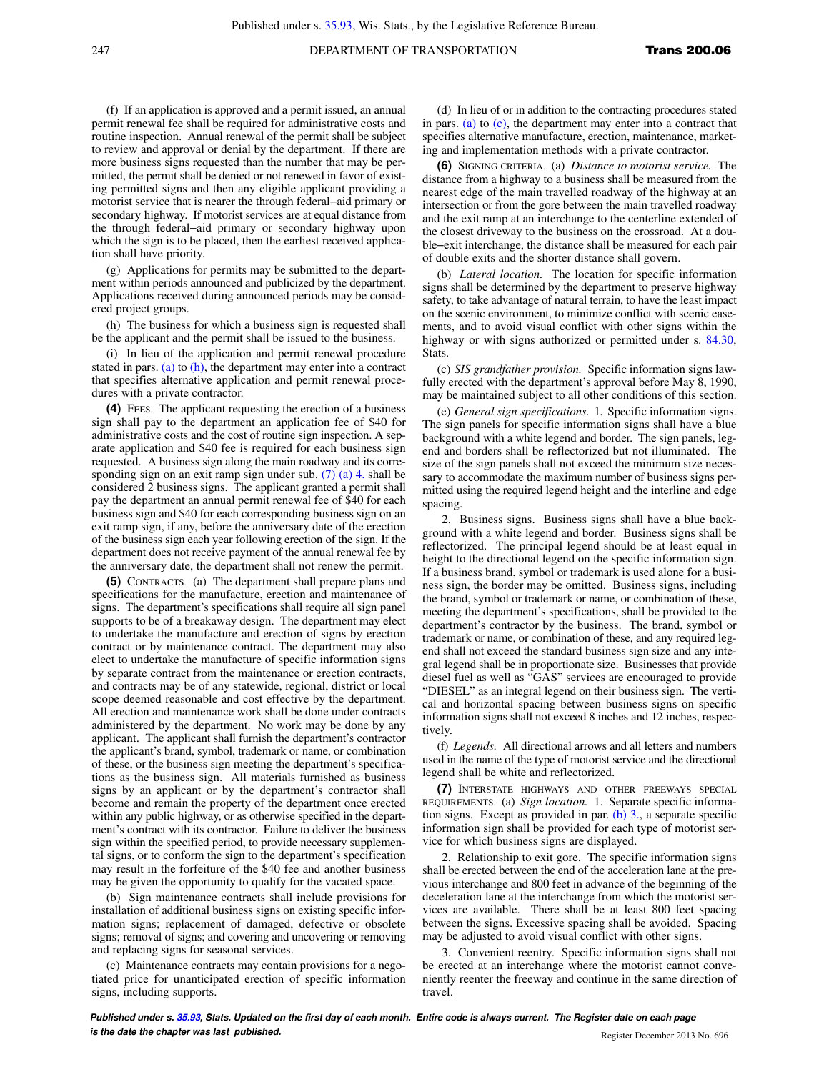(f) If an application is approved and a permit issued, an annual permit renewal fee shall be required for administrative costs and routine inspection. Annual renewal of the permit shall be subject to review and approval or denial by the department. If there are more business signs requested than the number that may be permitted, the permit shall be denied or not renewed in favor of existing permitted signs and then any eligible applicant providing a motorist service that is nearer the through federal−aid primary or secondary highway. If motorist services are at equal distance from the through federal−aid primary or secondary highway upon which the sign is to be placed, then the earliest received application shall have priority.

(g) Applications for permits may be submitted to the department within periods announced and publicized by the department. Applications received during announced periods may be considered project groups.

(h) The business for which a business sign is requested shall be the applicant and the permit shall be issued to the business.

(i) In lieu of the application and permit renewal procedure stated in pars. [\(a\)](https://docs.legis.wisconsin.gov/document/administrativecode/Trans%20200.06(3)(a)) to  $(h)$ , the department may enter into a contract that specifies alternative application and permit renewal procedures with a private contractor.

**(4)** FEES. The applicant requesting the erection of a business sign shall pay to the department an application fee of \$40 for administrative costs and the cost of routine sign inspection. A separate application and \$40 fee is required for each business sign requested. A business sign along the main roadway and its corresponding sign on an exit ramp sign under sub. [\(7\) \(a\) 4.](https://docs.legis.wisconsin.gov/document/administrativecode/Trans%20200.06(7)(a)4.) shall be considered 2 business signs. The applicant granted a permit shall pay the department an annual permit renewal fee of \$40 for each business sign and \$40 for each corresponding business sign on an exit ramp sign, if any, before the anniversary date of the erection of the business sign each year following erection of the sign. If the department does not receive payment of the annual renewal fee by the anniversary date, the department shall not renew the permit.

**(5)** CONTRACTS. (a) The department shall prepare plans and specifications for the manufacture, erection and maintenance of signs. The department's specifications shall require all sign panel supports to be of a breakaway design. The department may elect to undertake the manufacture and erection of signs by erection contract or by maintenance contract. The department may also elect to undertake the manufacture of specific information signs by separate contract from the maintenance or erection contracts, and contracts may be of any statewide, regional, district or local scope deemed reasonable and cost effective by the department. All erection and maintenance work shall be done under contracts administered by the department. No work may be done by any applicant. The applicant shall furnish the department's contractor the applicant's brand, symbol, trademark or name, or combination of these, or the business sign meeting the department's specifications as the business sign. All materials furnished as business signs by an applicant or by the department's contractor shall become and remain the property of the department once erected within any public highway, or as otherwise specified in the department's contract with its contractor. Failure to deliver the business sign within the specified period, to provide necessary supplemental signs, or to conform the sign to the department's specification may result in the forfeiture of the \$40 fee and another business may be given the opportunity to qualify for the vacated space.

(b) Sign maintenance contracts shall include provisions for installation of additional business signs on existing specific information signs; replacement of damaged, defective or obsolete signs; removal of signs; and covering and uncovering or removing and replacing signs for seasonal services.

(c) Maintenance contracts may contain provisions for a negotiated price for unanticipated erection of specific information signs, including supports.

(d) In lieu of or in addition to the contracting procedures stated in pars. [\(a\)](https://docs.legis.wisconsin.gov/document/administrativecode/Trans%20200.06(5)(a)) to [\(c\)](https://docs.legis.wisconsin.gov/document/administrativecode/Trans%20200.06(5)(c)), the department may enter into a contract that specifies alternative manufacture, erection, maintenance, marketing and implementation methods with a private contractor.

**(6)** SIGNING CRITERIA. (a) *Distance to motorist service.* The distance from a highway to a business shall be measured from the nearest edge of the main travelled roadway of the highway at an intersection or from the gore between the main travelled roadway and the exit ramp at an interchange to the centerline extended of the closest driveway to the business on the crossroad. At a double−exit interchange, the distance shall be measured for each pair of double exits and the shorter distance shall govern.

(b) *Lateral location.* The location for specific information signs shall be determined by the department to preserve highway safety, to take advantage of natural terrain, to have the least impact on the scenic environment, to minimize conflict with scenic easements, and to avoid visual conflict with other signs within the highway or with signs authorized or permitted under s. [84.30,](https://docs.legis.wisconsin.gov/document/statutes/84.30) Stats.

(c) *SIS grandfather provision.* Specific information signs lawfully erected with the department's approval before May 8, 1990, may be maintained subject to all other conditions of this section.

(e) *General sign specifications.* 1. Specific information signs. The sign panels for specific information signs shall have a blue background with a white legend and border. The sign panels, legend and borders shall be reflectorized but not illuminated. The size of the sign panels shall not exceed the minimum size necessary to accommodate the maximum number of business signs permitted using the required legend height and the interline and edge spacing.

2. Business signs. Business signs shall have a blue background with a white legend and border. Business signs shall be reflectorized. The principal legend should be at least equal in height to the directional legend on the specific information sign. If a business brand, symbol or trademark is used alone for a business sign, the border may be omitted. Business signs, including the brand, symbol or trademark or name, or combination of these, meeting the department's specifications, shall be provided to the department's contractor by the business. The brand, symbol or trademark or name, or combination of these, and any required legend shall not exceed the standard business sign size and any integral legend shall be in proportionate size. Businesses that provide diesel fuel as well as "GAS" services are encouraged to provide "DIESEL" as an integral legend on their business sign. The vertical and horizontal spacing between business signs on specific information signs shall not exceed 8 inches and 12 inches, respectively.

(f) *Legends.* All directional arrows and all letters and numbers used in the name of the type of motorist service and the directional legend shall be white and reflectorized.

**(7)** INTERSTATE HIGHWAYS AND OTHER FREEWAYS SPECIAL REQUIREMENTS. (a) *Sign location.* 1. Separate specific information signs. Except as provided in par. [\(b\) 3.,](https://docs.legis.wisconsin.gov/document/administrativecode/Trans%20200.06(7)(b)3.) a separate specific information sign shall be provided for each type of motorist service for which business signs are displayed.

2. Relationship to exit gore. The specific information signs shall be erected between the end of the acceleration lane at the previous interchange and 800 feet in advance of the beginning of the deceleration lane at the interchange from which the motorist services are available. There shall be at least 800 feet spacing between the signs. Excessive spacing shall be avoided. Spacing may be adjusted to avoid visual conflict with other signs.

3. Convenient reentry. Specific information signs shall not be erected at an interchange where the motorist cannot conveniently reenter the freeway and continue in the same direction of travel.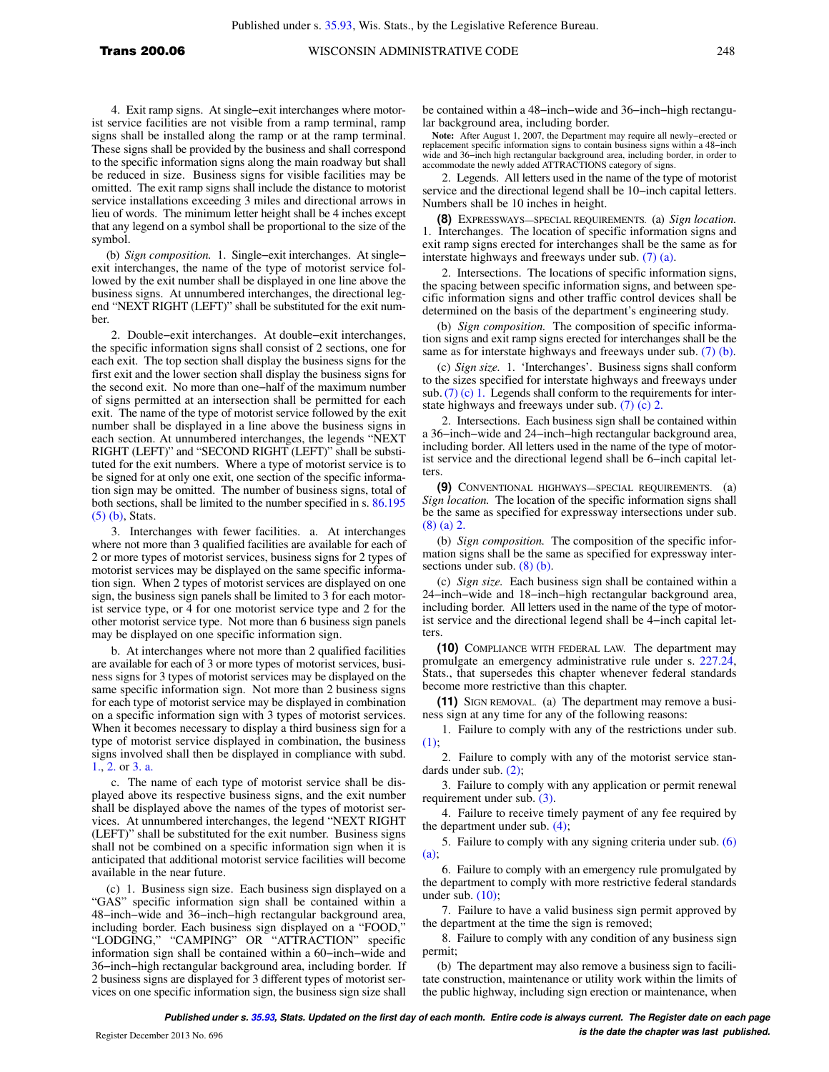4. Exit ramp signs. At single−exit interchanges where motorist service facilities are not visible from a ramp terminal, ramp signs shall be installed along the ramp or at the ramp terminal. These signs shall be provided by the business and shall correspond to the specific information signs along the main roadway but shall be reduced in size. Business signs for visible facilities may be omitted. The exit ramp signs shall include the distance to motorist service installations exceeding 3 miles and directional arrows in lieu of words. The minimum letter height shall be 4 inches except that any legend on a symbol shall be proportional to the size of the symbol.

(b) *Sign composition.* 1. Single−exit interchanges. At single− exit interchanges, the name of the type of motorist service followed by the exit number shall be displayed in one line above the business signs. At unnumbered interchanges, the directional legend "NEXT RIGHT (LEFT)" shall be substituted for the exit number.

2. Double−exit interchanges. At double−exit interchanges, the specific information signs shall consist of 2 sections, one for each exit. The top section shall display the business signs for the first exit and the lower section shall display the business signs for the second exit. No more than one−half of the maximum number of signs permitted at an intersection shall be permitted for each exit. The name of the type of motorist service followed by the exit number shall be displayed in a line above the business signs in each section. At unnumbered interchanges, the legends "NEXT RIGHT (LEFT)" and "SECOND RIGHT (LEFT)" shall be substituted for the exit numbers. Where a type of motorist service is to be signed for at only one exit, one section of the specific information sign may be omitted. The number of business signs, total of both sections, shall be limited to the number specified in s. [86.195](https://docs.legis.wisconsin.gov/document/statutes/86.195(5)(b)) [\(5\) \(b\)](https://docs.legis.wisconsin.gov/document/statutes/86.195(5)(b)), Stats.

3. Interchanges with fewer facilities. a. At interchanges where not more than 3 qualified facilities are available for each of 2 or more types of motorist services, business signs for 2 types of motorist services may be displayed on the same specific information sign. When 2 types of motorist services are displayed on one sign, the business sign panels shall be limited to 3 for each motorist service type, or 4 for one motorist service type and 2 for the other motorist service type. Not more than 6 business sign panels may be displayed on one specific information sign.

b. At interchanges where not more than 2 qualified facilities are available for each of 3 or more types of motorist services, business signs for 3 types of motorist services may be displayed on the same specific information sign. Not more than 2 business signs for each type of motorist service may be displayed in combination on a specific information sign with 3 types of motorist services. When it becomes necessary to display a third business sign for a type of motorist service displayed in combination, the business signs involved shall then be displayed in compliance with subd. [1.,](https://docs.legis.wisconsin.gov/document/administrativecode/Trans%20200.06(7)(b)1.) [2.](https://docs.legis.wisconsin.gov/document/administrativecode/Trans%20200.06(7)(b)2.) or [3. a.](https://docs.legis.wisconsin.gov/document/administrativecode/Trans%20200.06(7)(b)3.a.)

c. The name of each type of motorist service shall be displayed above its respective business signs, and the exit number shall be displayed above the names of the types of motorist services. At unnumbered interchanges, the legend "NEXT RIGHT (LEFT)" shall be substituted for the exit number. Business signs shall not be combined on a specific information sign when it is anticipated that additional motorist service facilities will become available in the near future.

(c) 1. Business sign size. Each business sign displayed on a "GAS" specific information sign shall be contained within a 48−inch−wide and 36−inch−high rectangular background area, including border. Each business sign displayed on a "FOOD," "LODGING," "CAMPING" OR "ATTRACTION" specific information sign shall be contained within a 60−inch−wide and 36−inch−high rectangular background area, including border. If 2 business signs are displayed for 3 different types of motorist services on one specific information sign, the business sign size shall

be contained within a 48−inch−wide and 36−inch−high rectangular background area, including border.

**Note:** After August 1, 2007, the Department may require all newly−erected or replacement specific information signs to contain business signs within a 48−inch wide and 36−inch high rectangular background area, including border, in order to accommodate the newly added ATTRACTIONS category of signs.

2. Legends. All letters used in the name of the type of motorist service and the directional legend shall be 10−inch capital letters. Numbers shall be 10 inches in height.

**(8)** EXPRESSWAYS—SPECIAL REQUIREMENTS*.* (a) *Sign location.* 1. Interchanges. The location of specific information signs and exit ramp signs erected for interchanges shall be the same as for interstate highways and freeways under sub. [\(7\) \(a\).](https://docs.legis.wisconsin.gov/document/administrativecode/Trans%20200.06(7)(a))

2. Intersections. The locations of specific information signs, the spacing between specific information signs, and between specific information signs and other traffic control devices shall be determined on the basis of the department's engineering study.

(b) *Sign composition.* The composition of specific information signs and exit ramp signs erected for interchanges shall be the same as for interstate highways and freeways under sub. [\(7\) \(b\).](https://docs.legis.wisconsin.gov/document/administrativecode/Trans%20200.06(7)(b))

(c) *Sign size.* 1. 'Interchanges'. Business signs shall conform to the sizes specified for interstate highways and freeways under sub.  $(7)$  (c) 1. Legends shall conform to the requirements for interstate highways and freeways under sub. [\(7\) \(c\) 2.](https://docs.legis.wisconsin.gov/document/administrativecode/Trans%20200.06(7)(c)2.)

2. Intersections. Each business sign shall be contained within a 36−inch−wide and 24−inch−high rectangular background area, including border. All letters used in the name of the type of motorist service and the directional legend shall be 6−inch capital letters.

**(9)** CONVENTIONAL HIGHWAYS—SPECIAL REQUIREMENTS. (a) *Sign location.* The location of the specific information signs shall be the same as specified for expressway intersections under sub. [\(8\) \(a\) 2.](https://docs.legis.wisconsin.gov/document/administrativecode/Trans%20200.06(8)(a)2.)

(b) *Sign composition.* The composition of the specific information signs shall be the same as specified for expressway intersections under sub. [\(8\) \(b\).](https://docs.legis.wisconsin.gov/document/administrativecode/Trans%20200.06(8)(b))

(c) *Sign size.* Each business sign shall be contained within a 24−inch−wide and 18−inch−high rectangular background area, including border. All letters used in the name of the type of motorist service and the directional legend shall be 4−inch capital letters.

**(10)** COMPLIANCE WITH FEDERAL LAW. The department may promulgate an emergency administrative rule under s. [227.24,](https://docs.legis.wisconsin.gov/document/statutes/227.24) Stats., that supersedes this chapter whenever federal standards become more restrictive than this chapter.

**(11)** SIGN REMOVAL. (a) The department may remove a business sign at any time for any of the following reasons:

1. Failure to comply with any of the restrictions under sub. [\(1\);](https://docs.legis.wisconsin.gov/document/administrativecode/Trans%20200.06(1))

2. Failure to comply with any of the motorist service standards under sub. [\(2\);](https://docs.legis.wisconsin.gov/document/administrativecode/Trans%20200.06(2))

3. Failure to comply with any application or permit renewal requirement under sub. [\(3\).](https://docs.legis.wisconsin.gov/document/administrativecode/Trans%20200.06(3))

4. Failure to receive timely payment of any fee required by the department under sub. [\(4\);](https://docs.legis.wisconsin.gov/document/administrativecode/Trans%20200.06(4))

5. Failure to comply with any signing criteria under sub. [\(6\)](https://docs.legis.wisconsin.gov/document/administrativecode/Trans%20200.06(6)(a))  $(a)$ :

6. Failure to comply with an emergency rule promulgated by the department to comply with more restrictive federal standards under sub.  $(10)$ ;

7. Failure to have a valid business sign permit approved by the department at the time the sign is removed;

8. Failure to comply with any condition of any business sign permit;

(b) The department may also remove a business sign to facilitate construction, maintenance or utility work within the limits of the public highway, including sign erection or maintenance, when

**Published under s. [35.93,](https://docs.legis.wisconsin.gov/document/statutes/35.93) Stats. Updated on the first day of each month. Entire code is always current. The Register date on each page is the date the chapter was last published.** Register December 2013 No. 696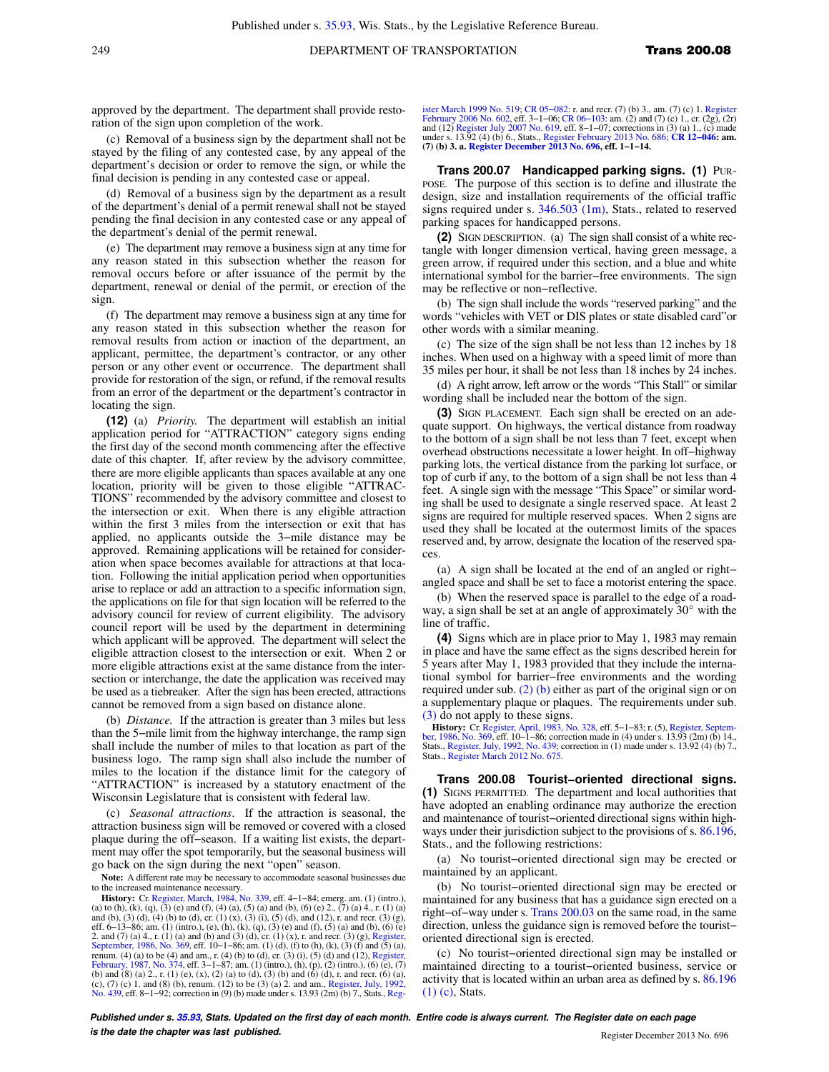approved by the department. The department shall provide restoration of the sign upon completion of the work.

(c) Removal of a business sign by the department shall not be stayed by the filing of any contested case, by any appeal of the department's decision or order to remove the sign, or while the final decision is pending in any contested case or appeal.

(d) Removal of a business sign by the department as a result of the department's denial of a permit renewal shall not be stayed pending the final decision in any contested case or any appeal of the department's denial of the permit renewal.

(e) The department may remove a business sign at any time for any reason stated in this subsection whether the reason for removal occurs before or after issuance of the permit by the department, renewal or denial of the permit, or erection of the sign.

(f) The department may remove a business sign at any time for any reason stated in this subsection whether the reason for removal results from action or inaction of the department, an applicant, permittee, the department's contractor, or any other person or any other event or occurrence. The department shall provide for restoration of the sign, or refund, if the removal results from an error of the department or the department's contractor in locating the sign.

**(12)** (a) *Priority.* The department will establish an initial application period for "ATTRACTION" category signs ending the first day of the second month commencing after the effective date of this chapter. If, after review by the advisory committee, there are more eligible applicants than spaces available at any one location, priority will be given to those eligible "ATTRAC-TIONS" recommended by the advisory committee and closest to the intersection or exit. When there is any eligible attraction within the first 3 miles from the intersection or exit that has applied, no applicants outside the 3−mile distance may be approved. Remaining applications will be retained for consideration when space becomes available for attractions at that location. Following the initial application period when opportunities arise to replace or add an attraction to a specific information sign, the applications on file for that sign location will be referred to the advisory council for review of current eligibility. The advisory council report will be used by the department in determining which applicant will be approved. The department will select the eligible attraction closest to the intersection or exit. When 2 or more eligible attractions exist at the same distance from the intersection or interchange, the date the application was received may be used as a tiebreaker. After the sign has been erected, attractions cannot be removed from a sign based on distance alone.

(b) *Distance.* If the attraction is greater than 3 miles but less than the 5−mile limit from the highway interchange, the ramp sign shall include the number of miles to that location as part of the business logo. The ramp sign shall also include the number of miles to the location if the distance limit for the category of "ATTRACTION" is increased by a statutory enactment of the Wisconsin Legislature that is consistent with federal law.

(c) *Seasonal attractions*. If the attraction is seasonal, the attraction business sign will be removed or covered with a closed plaque during the off−season. If a waiting list exists, the department may offer the spot temporarily, but the seasonal business will go back on the sign during the next "open" season.

**Note:** A different rate may be necessary to accommodate seasonal businesses due to the increased maintenance necessary.

**History:** Cr. [Register, March, 1984, No. 339,](https://docs.legis.wisconsin.gov/document/register/339/B/toc) eff. 4−1−84; emerg. am. (1) (intro.), (a) to (h), (k), (q), (3) (e) and (f), (4) (a), (5) (a) and (b), (6) (e) 2., (7) (a) 4., r. (1) (a) and (b), (3) (d), (4) (b) to (d), cr. (1) (x), (3) (i), (5) (d), and (12), r. and recr. (3) (g), (n)<br>eff. 6–13–86; am. (1) (intro.), (e), (h), (k), (q), (3) (e) and (f), (5) (a) and (b), (6) (e)<br>2. and (7) (a) 4., r. (1) ( [September, 1986, No. 369,](https://docs.legis.wisconsin.gov/document/register/369/B/toc) eff. 10−1−86; am. (1) (d), (f) to (h), (k), (3) (f) and (5) (a), renum. (4) (a) to be (4) and am., r. (4) (b) to (d), cr. (3) (i), (5) (d) and (12), [Register,](https://docs.legis.wisconsin.gov/document/register/374/B/toc) [February, 1987, No. 374,](https://docs.legis.wisconsin.gov/document/register/374/B/toc) eff. 3−1−87; am. (1) (intro.), (h), (p), (2) (intro.), (6) (e), (7) (b) and (8) (a) 2., r. (1) (e), (x), (2) (a) to (d), (3) (b) and (6) (d), r. and recr. (6) (a), (c), (7) (c) 1. and (8) (b), renum. (12) to be (3) (a) 2. and am., [Register, July, 1992,](https://docs.legis.wisconsin.gov/document/register/439/B/toc) [No. 439,](https://docs.legis.wisconsin.gov/document/register/439/B/toc) eff. 8–1–92; correction in (9) (b) made under s. 13.93 (2m) (b) 7., Stats., [Reg-](https://docs.legis.wisconsin.gov/document/register/519/B/toc)

[ister March 1999 No. 519](https://docs.legis.wisconsin.gov/document/register/519/B/toc); CR 05–082: r. and recr. (7) (b) 3., am. (7) (c) 1. [Register](https://docs.legis.wisconsin.gov/document/register/602/B/toc)<br>[February 2006 No. 602,](https://docs.legis.wisconsin.gov/document/register/602/B/toc) eff. 3–1–06; CR 06–103: am. (2) and (7) (c) 1., cr. (2g), (2r)<br>and (12) [Register July 2007 No. 619](https://docs.legis.wisconsin.gov/document/register/619/B/toc), eff. 8–1–07; **(7) (b) 3. a. [Register December 2013 No. 696](https://docs.legis.wisconsin.gov/document/register/696/B/toc), eff. 1−1−14.**

**Trans 200.07 Handicapped parking signs. (1)** PUR-POSE. The purpose of this section is to define and illustrate the design, size and installation requirements of the official traffic signs required under s. [346.503 \(1m\)](https://docs.legis.wisconsin.gov/document/statutes/346.503(1m)), Stats., related to reserved parking spaces for handicapped persons.

**(2)** SIGN DESCRIPTION. (a) The sign shall consist of a white rectangle with longer dimension vertical, having green message, a green arrow, if required under this section, and a blue and white international symbol for the barrier−free environments. The sign may be reflective or non−reflective.

(b) The sign shall include the words "reserved parking" and the words "vehicles with VET or DIS plates or state disabled card"or other words with a similar meaning.

(c) The size of the sign shall be not less than 12 inches by 18 inches. When used on a highway with a speed limit of more than 35 miles per hour, it shall be not less than 18 inches by 24 inches.

(d) A right arrow, left arrow or the words "This Stall" or similar wording shall be included near the bottom of the sign.

**(3)** SIGN PLACEMENT. Each sign shall be erected on an adequate support. On highways, the vertical distance from roadway to the bottom of a sign shall be not less than 7 feet, except when overhead obstructions necessitate a lower height. In off−highway parking lots, the vertical distance from the parking lot surface, or top of curb if any, to the bottom of a sign shall be not less than 4 feet. A single sign with the message "This Space" or similar wording shall be used to designate a single reserved space. At least 2 signs are required for multiple reserved spaces. When 2 signs are used they shall be located at the outermost limits of the spaces reserved and, by arrow, designate the location of the reserved spaces.

(a) A sign shall be located at the end of an angled or right− angled space and shall be set to face a motorist entering the space.

(b) When the reserved space is parallel to the edge of a roadway, a sign shall be set at an angle of approximately  $30^{\circ}$  with the line of traffic.

**(4)** Signs which are in place prior to May 1, 1983 may remain in place and have the same effect as the signs described herein for 5 years after May 1, 1983 provided that they include the international symbol for barrier−free environments and the wording required under sub. [\(2\) \(b\)](https://docs.legis.wisconsin.gov/document/administrativecode/Trans%20200.07(2)(b)) either as part of the original sign or on a supplementary plaque or plaques. The requirements under sub. [\(3\)](https://docs.legis.wisconsin.gov/document/administrativecode/Trans%20200.07(3)) do not apply to these signs.

**History:** Cr. [Register, April, 1983, No. 328](https://docs.legis.wisconsin.gov/document/register/328/B/toc), eff. 5−1−83; r. (5), [Register, Septem-](https://docs.legis.wisconsin.gov/document/register/369/B/toc)[ber, 1986, No. 369](https://docs.legis.wisconsin.gov/document/register/369/B/toc), eff. 10−1−86; correction made in (4) under s. 13.93 (2m) (b) 14., Stats., [Register, July, 1992, No. 439;](https://docs.legis.wisconsin.gov/document/register/439/B/toc) correction in (1) made under s. 13.92 (4) (b) 7., Stats., [Register March 2012 No. 675](https://docs.legis.wisconsin.gov/document/register/675/B/toc).

**Trans 200.08 Tourist−oriented directional signs. (1)** SIGNS PERMITTED. The department and local authorities that have adopted an enabling ordinance may authorize the erection and maintenance of tourist−oriented directional signs within highways under their jurisdiction subject to the provisions of s. [86.196,](https://docs.legis.wisconsin.gov/document/statutes/86.196) Stats., and the following restrictions:

(a) No tourist−oriented directional sign may be erected or maintained by an applicant.

(b) No tourist−oriented directional sign may be erected or maintained for any business that has a guidance sign erected on a right−of−way under s. [Trans 200.03](https://docs.legis.wisconsin.gov/document/administrativecode/Trans%20200.03) on the same road, in the same direction, unless the guidance sign is removed before the tourist− oriented directional sign is erected.

(c) No tourist−oriented directional sign may be installed or maintained directing to a tourist−oriented business, service or activity that is located within an urban area as defined by s. [86.196](https://docs.legis.wisconsin.gov/document/statutes/86.196(1)(c)) [\(1\) \(c\),](https://docs.legis.wisconsin.gov/document/statutes/86.196(1)(c)) Stats.

**Published under s. [35.93,](https://docs.legis.wisconsin.gov/document/statutes/35.93) Stats. Updated on the first day of each month. Entire code is always current. The Register date on each page is the date the chapter was last published. is the date the chapter was last published.** Register December 2013 No. 696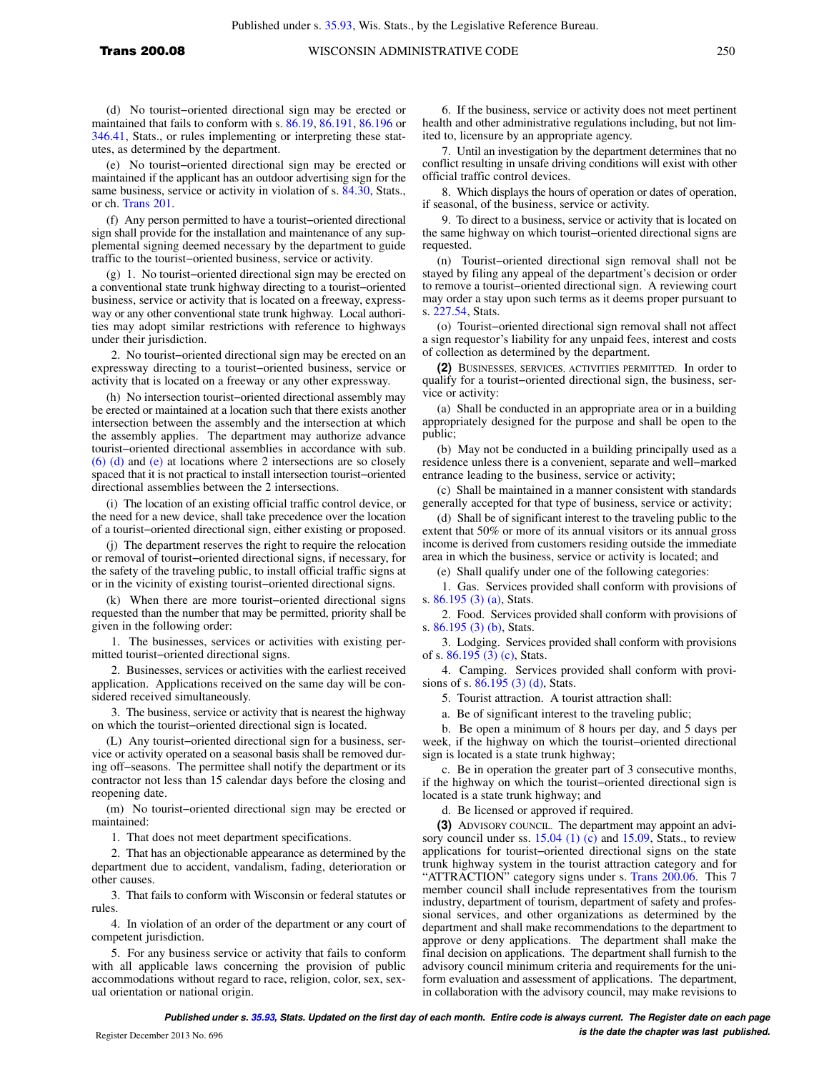utes, as determined by the department. (e) No tourist−oriented directional sign may be erected or maintained if the applicant has an outdoor advertising sign for the same business, service or activity in violation of s. [84.30](https://docs.legis.wisconsin.gov/document/statutes/84.30), Stats., or ch. [Trans 201.](https://docs.legis.wisconsin.gov/document/administrativecode/ch.%20Trans%20201)

(f) Any person permitted to have a tourist−oriented directional sign shall provide for the installation and maintenance of any supplemental signing deemed necessary by the department to guide traffic to the tourist−oriented business, service or activity.

(g) 1. No tourist−oriented directional sign may be erected on a conventional state trunk highway directing to a tourist−oriented business, service or activity that is located on a freeway, expressway or any other conventional state trunk highway. Local authorities may adopt similar restrictions with reference to highways under their jurisdiction.

2. No tourist−oriented directional sign may be erected on an expressway directing to a tourist−oriented business, service or activity that is located on a freeway or any other expressway.

(h) No intersection tourist−oriented directional assembly may be erected or maintained at a location such that there exists another intersection between the assembly and the intersection at which the assembly applies. The department may authorize advance tourist−oriented directional assemblies in accordance with sub. [\(6\) \(d\)](https://docs.legis.wisconsin.gov/document/administrativecode/Trans%20200.08(6)(d)) and [\(e\)](https://docs.legis.wisconsin.gov/document/administrativecode/Trans%20200.08(6)(e)) at locations where 2 intersections are so closely spaced that it is not practical to install intersection tourist−oriented directional assemblies between the 2 intersections.

(i) The location of an existing official traffic control device, or the need for a new device, shall take precedence over the location of a tourist−oriented directional sign, either existing or proposed.

(j) The department reserves the right to require the relocation or removal of tourist−oriented directional signs, if necessary, for the safety of the traveling public, to install official traffic signs at or in the vicinity of existing tourist−oriented directional signs.

(k) When there are more tourist−oriented directional signs requested than the number that may be permitted, priority shall be given in the following order:

1. The businesses, services or activities with existing permitted tourist−oriented directional signs.

2. Businesses, services or activities with the earliest received application. Applications received on the same day will be considered received simultaneously.

3. The business, service or activity that is nearest the highway on which the tourist−oriented directional sign is located.

(L) Any tourist−oriented directional sign for a business, service or activity operated on a seasonal basis shall be removed during off−seasons. The permittee shall notify the department or its contractor not less than 15 calendar days before the closing and reopening date.

(m) No tourist−oriented directional sign may be erected or maintained:

1. That does not meet department specifications.

2. That has an objectionable appearance as determined by the department due to accident, vandalism, fading, deterioration or other causes.

3. That fails to conform with Wisconsin or federal statutes or rules.

4. In violation of an order of the department or any court of competent jurisdiction.

5. For any business service or activity that fails to conform with all applicable laws concerning the provision of public accommodations without regard to race, religion, color, sex, sexual orientation or national origin.

6. If the business, service or activity does not meet pertinent health and other administrative regulations including, but not limited to, licensure by an appropriate agency.

7. Until an investigation by the department determines that no conflict resulting in unsafe driving conditions will exist with other official traffic control devices.

8. Which displays the hours of operation or dates of operation, if seasonal, of the business, service or activity.

9. To direct to a business, service or activity that is located on the same highway on which tourist−oriented directional signs are requested.

(n) Tourist−oriented directional sign removal shall not be stayed by filing any appeal of the department's decision or order to remove a tourist−oriented directional sign. A reviewing court may order a stay upon such terms as it deems proper pursuant to s. [227.54](https://docs.legis.wisconsin.gov/document/statutes/227.54), Stats.

(o) Tourist−oriented directional sign removal shall not affect a sign requestor's liability for any unpaid fees, interest and costs of collection as determined by the department.

**(2)** BUSINESSES, SERVICES, ACTIVITIES PERMITTED. In order to qualify for a tourist−oriented directional sign, the business, service or activity:

(a) Shall be conducted in an appropriate area or in a building appropriately designed for the purpose and shall be open to the public;

(b) May not be conducted in a building principally used as a residence unless there is a convenient, separate and well−marked entrance leading to the business, service or activity;

(c) Shall be maintained in a manner consistent with standards generally accepted for that type of business, service or activity;

(d) Shall be of significant interest to the traveling public to the extent that 50% or more of its annual visitors or its annual gross income is derived from customers residing outside the immediate area in which the business, service or activity is located; and

(e) Shall qualify under one of the following categories:

1. Gas. Services provided shall conform with provisions of s. [86.195 \(3\) \(a\)](https://docs.legis.wisconsin.gov/document/statutes/86.195(3)(a)), Stats.

2. Food. Services provided shall conform with provisions of s. [86.195 \(3\) \(b\),](https://docs.legis.wisconsin.gov/document/statutes/86.195(3)(b)) Stats.

3. Lodging. Services provided shall conform with provisions of s. [86.195 \(3\) \(c\)](https://docs.legis.wisconsin.gov/document/statutes/86.195(3)(c)), Stats.

4. Camping. Services provided shall conform with provisions of s.  $86.195(3)$  (d), Stats.

5. Tourist attraction. A tourist attraction shall:

a. Be of significant interest to the traveling public;

b. Be open a minimum of 8 hours per day, and 5 days per week, if the highway on which the tourist−oriented directional sign is located is a state trunk highway;

c. Be in operation the greater part of 3 consecutive months, if the highway on which the tourist−oriented directional sign is located is a state trunk highway; and

d. Be licensed or approved if required.

**(3)** ADVISORY COUNCIL. The department may appoint an advi-sory council under ss. [15.04 \(1\) \(c\)](https://docs.legis.wisconsin.gov/document/statutes/15.04(1)(c)) and [15.09](https://docs.legis.wisconsin.gov/document/statutes/15.09), Stats., to review applications for tourist−oriented directional signs on the state trunk highway system in the tourist attraction category and for "ATTRACTION" category signs under s. [Trans 200.06.](https://docs.legis.wisconsin.gov/document/administrativecode/Trans%20200.06) This 7 member council shall include representatives from the tourism industry, department of tourism, department of safety and professional services, and other organizations as determined by the department and shall make recommendations to the department to approve or deny applications. The department shall make the final decision on applications. The department shall furnish to the advisory council minimum criteria and requirements for the uniform evaluation and assessment of applications. The department, in collaboration with the advisory council, may make revisions to

**Published under s. [35.93,](https://docs.legis.wisconsin.gov/document/statutes/35.93) Stats. Updated on the first day of each month. Entire code is always current. The Register date on each page is the date the chapter was last published. is the date the chapter was last published.**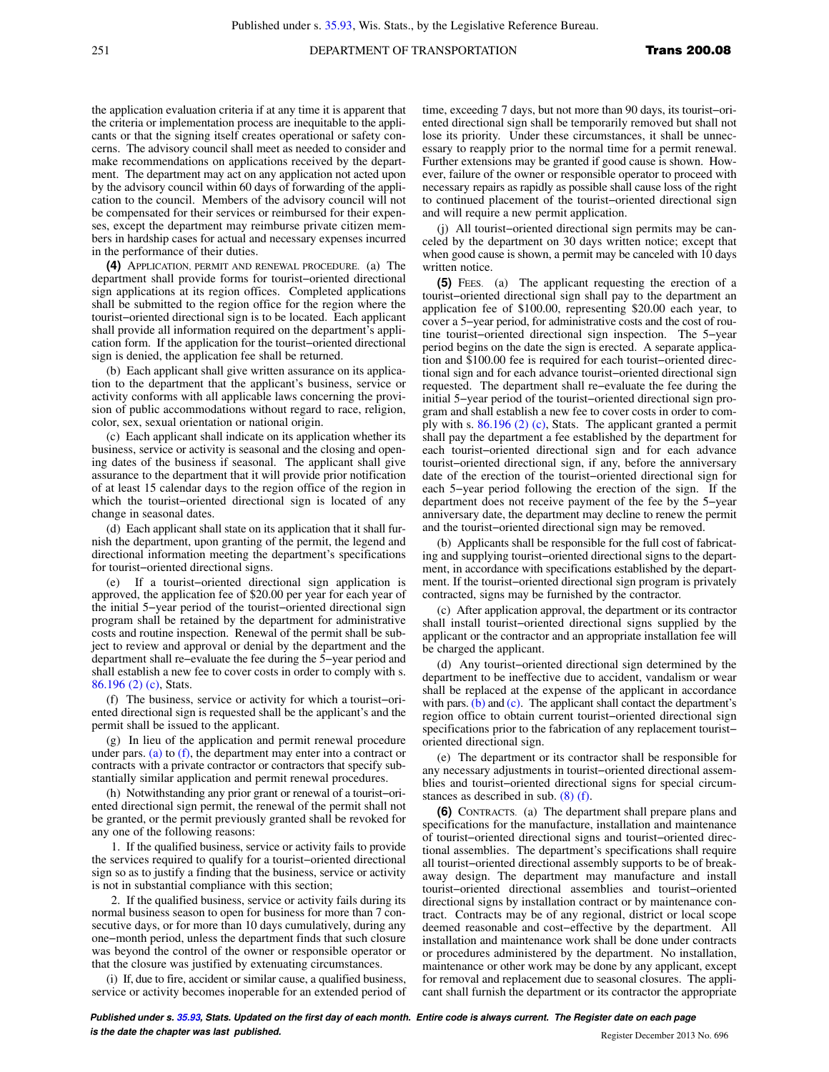## 251 **DEPARTMENT OF TRANSPORTATION Trans 200.08**

the application evaluation criteria if at any time it is apparent that the criteria or implementation process are inequitable to the applicants or that the signing itself creates operational or safety concerns. The advisory council shall meet as needed to consider and make recommendations on applications received by the department. The department may act on any application not acted upon by the advisory council within 60 days of forwarding of the application to the council. Members of the advisory council will not be compensated for their services or reimbursed for their expenses, except the department may reimburse private citizen members in hardship cases for actual and necessary expenses incurred in the performance of their duties.

**(4)** APPLICATION, PERMIT AND RENEWAL PROCEDURE. (a) The department shall provide forms for tourist−oriented directional sign applications at its region offices. Completed applications shall be submitted to the region office for the region where the tourist−oriented directional sign is to be located. Each applicant shall provide all information required on the department's application form. If the application for the tourist−oriented directional sign is denied, the application fee shall be returned.

(b) Each applicant shall give written assurance on its application to the department that the applicant's business, service or activity conforms with all applicable laws concerning the provision of public accommodations without regard to race, religion, color, sex, sexual orientation or national origin.

(c) Each applicant shall indicate on its application whether its business, service or activity is seasonal and the closing and opening dates of the business if seasonal. The applicant shall give assurance to the department that it will provide prior notification of at least 15 calendar days to the region office of the region in which the tourist−oriented directional sign is located of any change in seasonal dates.

(d) Each applicant shall state on its application that it shall furnish the department, upon granting of the permit, the legend and directional information meeting the department's specifications for tourist−oriented directional signs.

(e) If a tourist−oriented directional sign application is approved, the application fee of \$20.00 per year for each year of the initial 5−year period of the tourist−oriented directional sign program shall be retained by the department for administrative costs and routine inspection. Renewal of the permit shall be subject to review and approval or denial by the department and the department shall re−evaluate the fee during the 5−year period and shall establish a new fee to cover costs in order to comply with s. [86.196 \(2\) \(c\),](https://docs.legis.wisconsin.gov/document/statutes/86.196(2)(c)) Stats.

(f) The business, service or activity for which a tourist−oriented directional sign is requested shall be the applicant's and the permit shall be issued to the applicant.

(g) In lieu of the application and permit renewal procedure under pars. [\(a\)](https://docs.legis.wisconsin.gov/document/administrativecode/Trans%20200.08(4)(a)) to  $(f)$ , the department may enter into a contract or contracts with a private contractor or contractors that specify substantially similar application and permit renewal procedures.

(h) Notwithstanding any prior grant or renewal of a tourist−oriented directional sign permit, the renewal of the permit shall not be granted, or the permit previously granted shall be revoked for any one of the following reasons:

1. If the qualified business, service or activity fails to provide the services required to qualify for a tourist−oriented directional sign so as to justify a finding that the business, service or activity is not in substantial compliance with this section;

2. If the qualified business, service or activity fails during its normal business season to open for business for more than 7 consecutive days, or for more than 10 days cumulatively, during any one−month period, unless the department finds that such closure was beyond the control of the owner or responsible operator or that the closure was justified by extenuating circumstances.

(i) If, due to fire, accident or similar cause, a qualified business, service or activity becomes inoperable for an extended period of time, exceeding 7 days, but not more than 90 days, its tourist−oriented directional sign shall be temporarily removed but shall not lose its priority. Under these circumstances, it shall be unnecessary to reapply prior to the normal time for a permit renewal. Further extensions may be granted if good cause is shown. However, failure of the owner or responsible operator to proceed with necessary repairs as rapidly as possible shall cause loss of the right to continued placement of the tourist−oriented directional sign and will require a new permit application.

(j) All tourist−oriented directional sign permits may be canceled by the department on 30 days written notice; except that when good cause is shown, a permit may be canceled with 10 days written notice.

**(5)** FEES. (a) The applicant requesting the erection of a tourist−oriented directional sign shall pay to the department an application fee of \$100.00, representing \$20.00 each year, to cover a 5−year period, for administrative costs and the cost of routine tourist−oriented directional sign inspection. The 5−year period begins on the date the sign is erected. A separate application and \$100.00 fee is required for each tourist−oriented directional sign and for each advance tourist−oriented directional sign requested. The department shall re−evaluate the fee during the initial 5−year period of the tourist−oriented directional sign program and shall establish a new fee to cover costs in order to comply with s. [86.196 \(2\) \(c\)](https://docs.legis.wisconsin.gov/document/statutes/86.196(2)(c)), Stats. The applicant granted a permit shall pay the department a fee established by the department for each tourist−oriented directional sign and for each advance tourist−oriented directional sign, if any, before the anniversary date of the erection of the tourist−oriented directional sign for each 5−year period following the erection of the sign. If the department does not receive payment of the fee by the 5−year anniversary date, the department may decline to renew the permit and the tourist−oriented directional sign may be removed.

(b) Applicants shall be responsible for the full cost of fabricating and supplying tourist−oriented directional signs to the department, in accordance with specifications established by the department. If the tourist−oriented directional sign program is privately contracted, signs may be furnished by the contractor.

(c) After application approval, the department or its contractor shall install tourist−oriented directional signs supplied by the applicant or the contractor and an appropriate installation fee will be charged the applicant.

(d) Any tourist−oriented directional sign determined by the department to be ineffective due to accident, vandalism or wear shall be replaced at the expense of the applicant in accordance with pars. [\(b\)](https://docs.legis.wisconsin.gov/document/administrativecode/Trans%20200.08(5)(b)) and [\(c\)](https://docs.legis.wisconsin.gov/document/administrativecode/Trans%20200.08(5)(c)). The applicant shall contact the department's region office to obtain current tourist−oriented directional sign specifications prior to the fabrication of any replacement tourist− oriented directional sign.

(e) The department or its contractor shall be responsible for any necessary adjustments in tourist−oriented directional assemblies and tourist−oriented directional signs for special circumstances as described in sub. [\(8\) \(f\).](https://docs.legis.wisconsin.gov/document/administrativecode/Trans%20200.08(8)(f))

**(6)** CONTRACTS. (a) The department shall prepare plans and specifications for the manufacture, installation and maintenance of tourist−oriented directional signs and tourist−oriented directional assemblies. The department's specifications shall require all tourist−oriented directional assembly supports to be of breakaway design. The department may manufacture and install tourist−oriented directional assemblies and tourist−oriented directional signs by installation contract or by maintenance contract. Contracts may be of any regional, district or local scope deemed reasonable and cost−effective by the department. All installation and maintenance work shall be done under contracts or procedures administered by the department. No installation, maintenance or other work may be done by any applicant, except for removal and replacement due to seasonal closures. The applicant shall furnish the department or its contractor the appropriate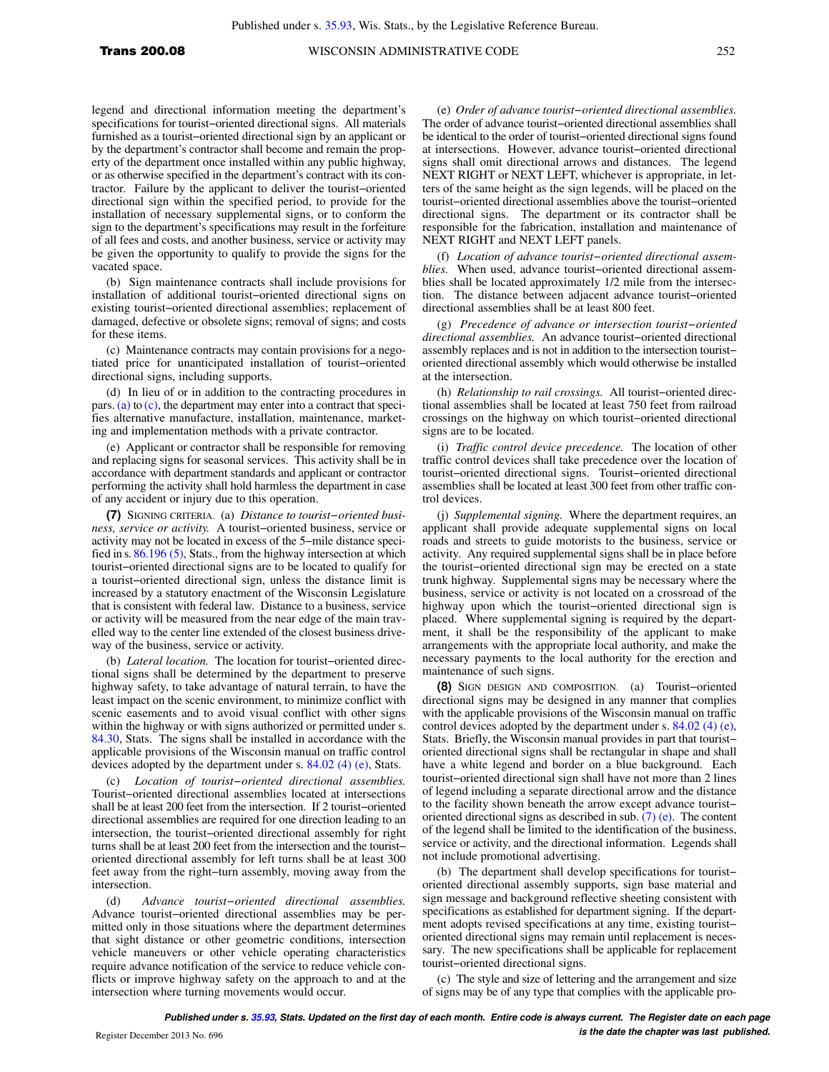legend and directional information meeting the department's specifications for tourist−oriented directional signs. All materials furnished as a tourist−oriented directional sign by an applicant or by the department's contractor shall become and remain the property of the department once installed within any public highway, or as otherwise specified in the department's contract with its contractor. Failure by the applicant to deliver the tourist−oriented directional sign within the specified period, to provide for the installation of necessary supplemental signs, or to conform the sign to the department's specifications may result in the forfeiture of all fees and costs, and another business, service or activity may be given the opportunity to qualify to provide the signs for the vacated space.

(b) Sign maintenance contracts shall include provisions for installation of additional tourist−oriented directional signs on existing tourist−oriented directional assemblies; replacement of damaged, defective or obsolete signs; removal of signs; and costs for these items.

(c) Maintenance contracts may contain provisions for a negotiated price for unanticipated installation of tourist−oriented directional signs, including supports.

(d) In lieu of or in addition to the contracting procedures in pars. [\(a\)](https://docs.legis.wisconsin.gov/document/administrativecode/Trans%20200.08(6)(a)) to [\(c\),](https://docs.legis.wisconsin.gov/document/administrativecode/Trans%20200.08(6)(c)) the department may enter into a contract that specifies alternative manufacture, installation, maintenance, marketing and implementation methods with a private contractor.

(e) Applicant or contractor shall be responsible for removing and replacing signs for seasonal services. This activity shall be in accordance with department standards and applicant or contractor performing the activity shall hold harmless the department in case of any accident or injury due to this operation.

**(7)** SIGNING CRITERIA. (a) *Distance to tourist−oriented business, service or activity.* A tourist−oriented business, service or activity may not be located in excess of the 5−mile distance specified in s. [86.196 \(5\),](https://docs.legis.wisconsin.gov/document/statutes/86.196(5)) Stats., from the highway intersection at which tourist−oriented directional signs are to be located to qualify for a tourist−oriented directional sign, unless the distance limit is increased by a statutory enactment of the Wisconsin Legislature that is consistent with federal law. Distance to a business, service or activity will be measured from the near edge of the main travelled way to the center line extended of the closest business driveway of the business, service or activity.

(b) *Lateral location.* The location for tourist−oriented directional signs shall be determined by the department to preserve highway safety, to take advantage of natural terrain, to have the least impact on the scenic environment, to minimize conflict with scenic easements and to avoid visual conflict with other signs within the highway or with signs authorized or permitted under s. [84.30](https://docs.legis.wisconsin.gov/document/statutes/84.30), Stats. The signs shall be installed in accordance with the applicable provisions of the Wisconsin manual on traffic control devices adopted by the department under s. [84.02 \(4\) \(e\)](https://docs.legis.wisconsin.gov/document/statutes/84.02(4)(e)), Stats.

(c) *Location of tourist−oriented directional assemblies.* Tourist−oriented directional assemblies located at intersections shall be at least 200 feet from the intersection. If 2 tourist−oriented directional assemblies are required for one direction leading to an intersection, the tourist−oriented directional assembly for right turns shall be at least 200 feet from the intersection and the tourist− oriented directional assembly for left turns shall be at least 300 feet away from the right−turn assembly, moving away from the intersection.

(d) *Advance tourist−oriented directional assemblies.* Advance tourist−oriented directional assemblies may be permitted only in those situations where the department determines that sight distance or other geometric conditions, intersection vehicle maneuvers or other vehicle operating characteristics require advance notification of the service to reduce vehicle conflicts or improve highway safety on the approach to and at the intersection where turning movements would occur.

(e) *Order of advance tourist−oriented directional assemblies.* The order of advance tourist−oriented directional assemblies shall be identical to the order of tourist−oriented directional signs found at intersections. However, advance tourist−oriented directional signs shall omit directional arrows and distances. The legend NEXT RIGHT or NEXT LEFT, whichever is appropriate, in letters of the same height as the sign legends, will be placed on the tourist−oriented directional assemblies above the tourist−oriented directional signs. The department or its contractor shall be responsible for the fabrication, installation and maintenance of NEXT RIGHT and NEXT LEFT panels.

(f) *Location of advance tourist−oriented directional assemblies.* When used, advance tourist−oriented directional assemblies shall be located approximately 1/2 mile from the intersection. The distance between adjacent advance tourist−oriented directional assemblies shall be at least 800 feet.

(g) *Precedence of advance or intersection tourist−oriented directional assemblies.* An advance tourist−oriented directional assembly replaces and is not in addition to the intersection tourist− oriented directional assembly which would otherwise be installed at the intersection.

(h) *Relationship to rail crossings.* All tourist−oriented directional assemblies shall be located at least 750 feet from railroad crossings on the highway on which tourist−oriented directional signs are to be located.

(i) *Traffic control device precedence.* The location of other traffic control devices shall take precedence over the location of tourist−oriented directional signs. Tourist−oriented directional assemblies shall be located at least 300 feet from other traffic control devices.

(j) *Supplemental signing.* Where the department requires, an applicant shall provide adequate supplemental signs on local roads and streets to guide motorists to the business, service or activity. Any required supplemental signs shall be in place before the tourist−oriented directional sign may be erected on a state trunk highway. Supplemental signs may be necessary where the business, service or activity is not located on a crossroad of the highway upon which the tourist−oriented directional sign is placed. Where supplemental signing is required by the department, it shall be the responsibility of the applicant to make arrangements with the appropriate local authority, and make the necessary payments to the local authority for the erection and maintenance of such signs.

**(8)** SIGN DESIGN AND COMPOSITION. (a) Tourist−oriented directional signs may be designed in any manner that complies with the applicable provisions of the Wisconsin manual on traffic control devices adopted by the department under s. [84.02 \(4\) \(e\),](https://docs.legis.wisconsin.gov/document/statutes/84.02(4)(e)) Stats. Briefly, the Wisconsin manual provides in part that tourist− oriented directional signs shall be rectangular in shape and shall have a white legend and border on a blue background. Each tourist−oriented directional sign shall have not more than 2 lines of legend including a separate directional arrow and the distance to the facility shown beneath the arrow except advance tourist− oriented directional signs as described in sub. [\(7\) \(e\)](https://docs.legis.wisconsin.gov/document/administrativecode/Trans%20200.08(7)(e)). The content of the legend shall be limited to the identification of the business, service or activity, and the directional information. Legends shall not include promotional advertising.

(b) The department shall develop specifications for tourist− oriented directional assembly supports, sign base material and sign message and background reflective sheeting consistent with specifications as established for department signing. If the department adopts revised specifications at any time, existing tourist− oriented directional signs may remain until replacement is necessary. The new specifications shall be applicable for replacement tourist−oriented directional signs.

(c) The style and size of lettering and the arrangement and size of signs may be of any type that complies with the applicable pro-

**Published under s. [35.93,](https://docs.legis.wisconsin.gov/document/statutes/35.93) Stats. Updated on the first day of each month. Entire code is always current. The Register date on each page is the date the chapter was last published. is the date the chapter was last published.**